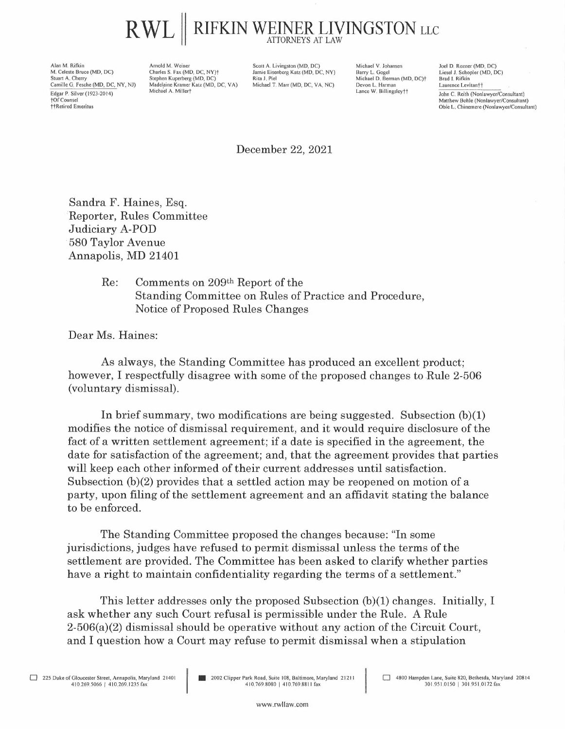## $\mathsf{RWL} \parallel \mathsf{RIFKIN}\ \mathsf{WEXPER}\ \mathsf{LIVINGSTON}\ \mathsf{LLC}$

Alan M. Rifkin M. Celeste Bruce (MD, DC) Stuart A. Cherry Camille G. Fesche (MD, DC, NY, NJ) Edgar P. Silver (1923-2014) [Of Counsel **thRetired Emeritus** 

Arnold M. Weiner Charles S. Fax (MD, DC, NY)t Stephen Kuperberg (MD, DC) Madelaine Kramer Katz (MD, DC, VA) Michael A. Millert

Scott A. Livingston (MD, DC) Jamie Eisenberg Katz (MD, DC, NY) Rita J. Piel Michael T. Marr (MD, DC, VA, NC)

Michael V. Johansen Barry L. Gogel Michael D. Berman (MD, DC)<sup>+</sup> Devon L. Harman Lance W. Billingsley††

Joel D. Rozner (MD, DC) Liesel J. Schopler (MD, DC) Brad I. Rifkin Laurence Levitan†† John C. Reith (Nonlawyer/Consultant) Matthew Bohle (Nonlawyer/Consultant) Obie L. Chinemere (Nonlawyer/Consultant)

## December 22, 2021

Sandra F. Haines, Esq. ·Reporter, Rules Committee Judiciary A-POD · 580 Taylor Avenue Annapolis, MD 21401

## Re: Comments on 209th Report of the Standing Committee on Rules of Practice and Procedure, Notice of Proposed Rules Changes

Dear Ms. Haines:

As always, the Standing Committee has produced an excellent product; however, I respectfully disagree with some of the proposed changes to Rule 2-506 (voluntary dismissal).

In brief summary, two modifications are being suggested. Subsection (b)(l) modifies the notice of dismissal requirement, and it would require disclosure of the fact of a written settlement agreement; if a date is specified in the agreement, the date for satisfaction of the agreement; and, that the agreement provides that parties will keep each other informed of their current addresses until satisfaction. Subsection (b)(2) provides that a settled action may be reopened on motion of a party, upon filing of the settlement agreement and an affidavit stating the balance to be enforced.

The Standing Committee proposed the changes because: "In some jurisdictions, judges have refused to permit dismissal unless the terms of the settlement are provided. The Committee has been asked to clarify whether parties have a right to maintain confidentiality regarding the terms of a settlement."

This letter addresses only the proposed Subsection (b)(l) changes. Initially, I ask whether any such Court refusal is permissible under the Rule. A Rule 2-506(a)(2) dismissal should be operative without any action of the Circuit Court, and I question how a Court may refuse to permit dismissal when a stipulation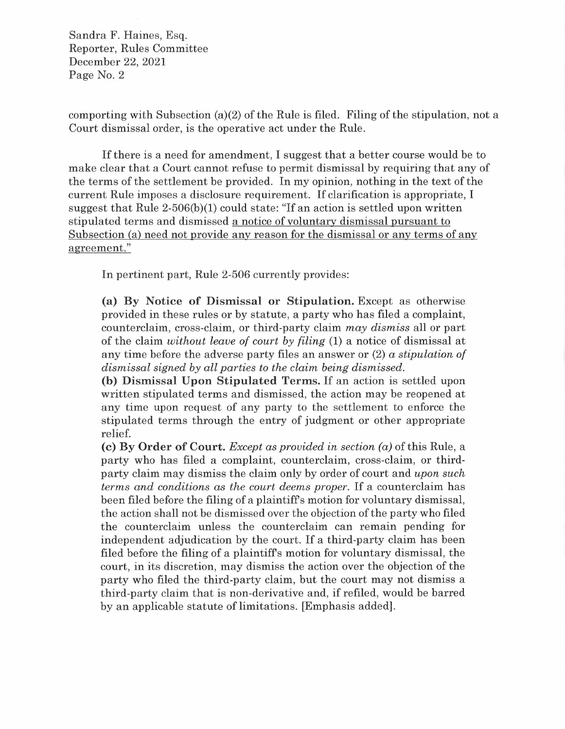comporting with Subsection (a)(2) of the Rule is filed. Filing of the stipulation, not a Court dismissal order, is the operative act under the Rule.

If there is a need for amendment, I suggest that a better course would be to make clear that a Court cannot refuse to permit dismissal by requiring that any of the terms of the settlement be provided. In my opinion, nothing in the text of the current Rule imposes a disclosure requirement. If clarification is appropriate, I suggest that Rule  $2-506(b)(1)$  could state: "If an action is settled upon written stipulated terms and dismissed a notice of voluntary dismissal pursuant to Subsection (a) need not provide any reason for the dismissal or any terms of any agreement."

In pertinent part, Rule 2-506 currently provides:

**(a) By Notice of Dismissal or Stipulation.** Except as otherwise provided in these rules or by statute, a party who has filed a complaint, counterclaim, cross-claim, or third-party claim *may dismiss* all or part of the claim *without leave of court by filing* (1) a notice of dismissal at any time before the adverse party files an answer or (2) *a stipulation of dismissal signed by all parties to the claim being dismissed.* 

**(h) Dismissal Upon Stipulated Terms.** If an action is settled upon written stipulated terms and dismissed, the action may be reopened at any time upon request of any party to the settlement to enforce the stipulated terms through the entry of judgment or other appropriate relief.

**(c) By Order of Court.** *Except as provided in section (a)* of this Rule, a party who has filed a complaint, counterclaim, cross-claim, or thirdparty claim may dismiss the claim only by order of court and *upon such terms and conditions as the court deems proper.* If a counterclaim has been filed before the filing of a plaintiffs motion for voluntary dismissal, the action shall not be dismissed over the objection of the party who filed the counterclaim unless the counterclaim can remain pending for independent adjudication by the court. If a third-party claim has been filed before the filing of a plaintiffs motion for voluntary dismissal, the court, in its discretion, may dismiss the action over the objection of the party who filed the third-party claim, but the court may not dismiss a third-party claim that is non-derivative and, if refiled, would be barred by an applicable statute of limitations. [Emphasis added].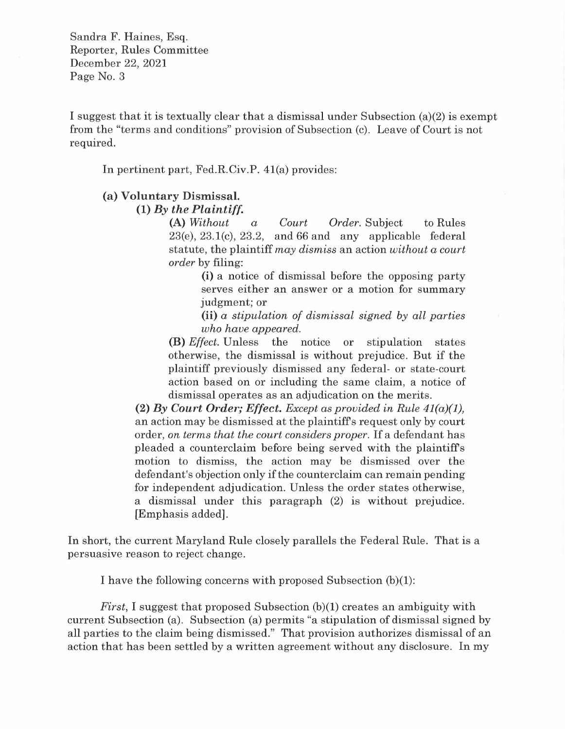I suggest that it is textually clear that a dismissal under Subsection  $(a)(2)$  is exempt from the "terms and conditions" provision of Subsection (c). Leave of Court is not required.

In pertinent part, Fed.R.Civ.P. 41(a) provides:

## **(a) Voluntary Dismissal.**

**(1)** *By the Plaintiff.* **(A)** *Without*  $\alpha$ 

**(A)** *Without a Court Order.* Subject to Rules  $23(e)$ ,  $23.1(c)$ ,  $23.2$ , and  $66$  and any applicable federal statute, the plaintiff *may dismiss* an action *without a court order* by filing:

> (i) a notice of dismissal before the opposing party serves either an answer or a motion for summary judgment; or

> (ii) *a stipulation of dismissal signed by all parties who have appeared.*

**(B)** *Effect.* Unless the notice or stipulation states otherwise, the dismissal is without prejudice. But if the plaintiff previously dismissed any federal- or state-court action based on or including the same claim, a notice of dismissal operates as an adjudication on the merits.

**(2)** *By Court Order; Effect. Except as provided in Rule 41(a)(l),*  an action may be dismissed at the plaintiffs request only by court order, *on terms that the court considers proper.* If a defendant has pleaded a counterclaim before being served with the plaintiffs motion to dismiss, the action may be dismissed over the defendant's objection only if the counterclaim can remain pending for independent adjudication. Unless the order states otherwise, a dismissal under this paragraph (2) is without prejudice. [Emphasis added].

In short, the current Maryland Rule closely parallels the Federal Rule. That is a persuasive reason to reject change.

I have the following concerns with proposed Subsection (b)(l):

*First*, I suggest that proposed Subsection (b)(1) creates an ambiguity with current Subsection (a). Subsection (a) permits "a stipulation of dismissal signed by all parties to the claim being dismissed." That provision authorizes dismissal of an action that has been settled by a written agreement without any disclosure. In my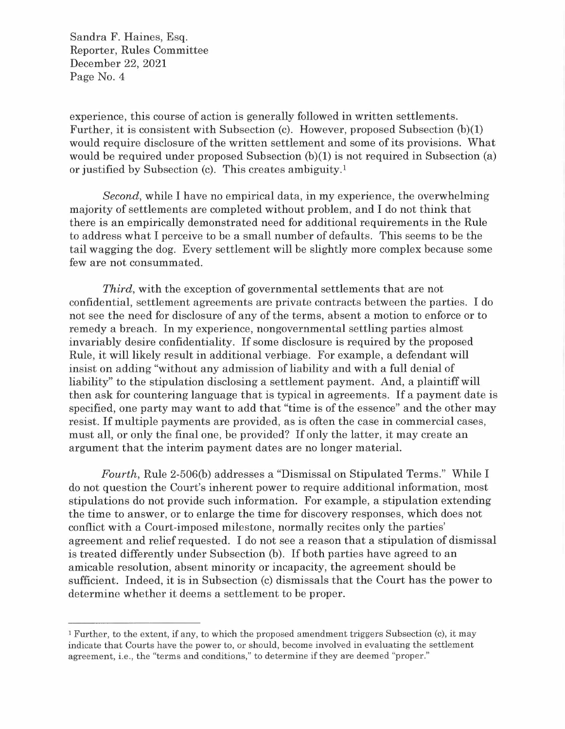experience, this course of action is generally followed in written settlements. Further, it is consistent with Subsection (c). However, proposed Subsection (b)(l) would require disclosure of the written settlement and some of its provisions. What would be required under proposed Subsection (b)(l) is not required in Subsection (a) or justified by Subsection (c). This creates ambiguity. 1

*Second,* while I have no empirical data, in my experience, the overwhelming majority of settlements are completed without problem, and I do not think that there is an empirically demonstrated need for additional requirements in the Rule to address what I perceive to be a small number of defaults. This seems to be the tail wagging the dog. Every settlement will be slightly more complex because some few are not consummated.

*Third,* with the exception of governmental settlements that are not confidential, settlement agreements are private contracts between the parties. I do not see the need for disclosure of any of the terms, absent a motion to enforce or to remedy a breach. In my experience, nongovernmental settling parties almost invariably desire confidentiality. If some disclosure is required by the proposed Rule, it will likely result in additional verbiage. For example, a defendant will insist on adding "without any admission of liability and with a full denial of liability" to the stipulation disclosing a settlement payment. And, a plaintiff will then ask for countering language that is typical in agreements. If a payment date is specified, one party may want to add that "time is of the essence" and the other may resist. If multiple payments are provided, as is often the case in commercial cases, must all, or only the final one, be provided? If only the latter, it may create an argument that the interim payment dates are no longer material.

*Fourth,* Rule 2-506(b) addresses a "Dismissal on Stipulated Terms." While I do not question the Court's inherent power to require additional information, most stipulations do not provide such information. For example, a stipulation extending the time to answer, or to enlarge the time for discovery responses, which does not conflict with a Court-imposed milestone, normally recites only the parties' agreement and relief requested. I do not see a reason that a stipulation of dismissal is treated differently under Subsection (b). If both parties have agreed to an amicable resolution, absent minority or incapacity, the agreement should be sufficient. Indeed, it is in Subsection (c) dismissals that the Court has the power to determine whether it deems a settlement to be proper.

<sup>1</sup>Further, to the extent, if any, to which the proposed amendment triggers Subsection (c), it may indicate that Courts have the power to, or should, become involved in evaluating the settlement agreement, i.e., the "terms and conditions," to determine if they are deemed "proper."